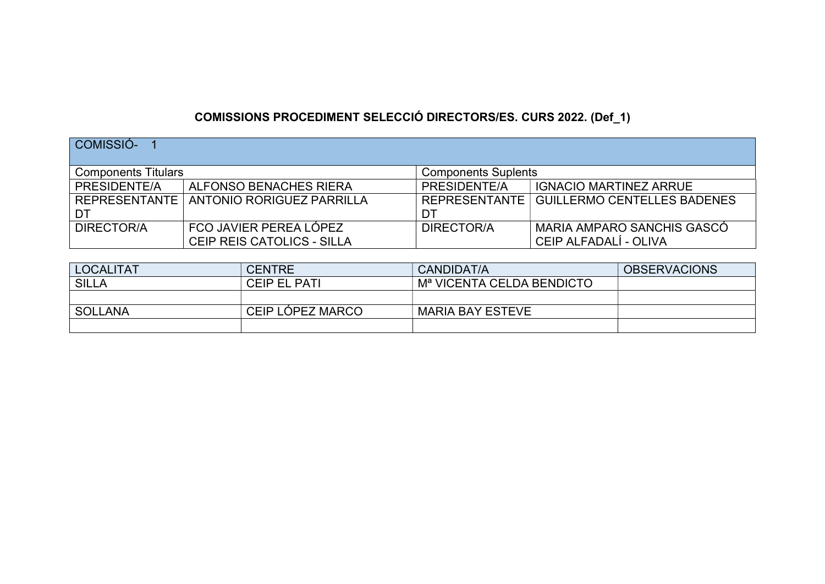## COMISSIONS PROCEDIMENT SELECCIÓ DIRECTORS/ES. CURS 2022. (Def\_1)

| COMISSIÓ-                  |                                                      |                            |                                                     |
|----------------------------|------------------------------------------------------|----------------------------|-----------------------------------------------------|
| <b>Components Titulars</b> |                                                      | <b>Components Suplents</b> |                                                     |
| PRESIDENTE/A               | ALFONSO BENACHES RIERA                               | PRESIDENTE/A               | <b>IGNACIO MARTINEZ ARRUE</b>                       |
| DT                         | REPRESENTANTE   ANTONIO RORIGUEZ PARRILLA            | <b>REPRESENTANTE</b><br>DT | <b>GUILLERMO CENTELLES BADENES</b>                  |
| DIRECTOR/A                 | FCO JAVIER PEREA LÓPEZ<br>CEIP REIS CATOLICS - SILLA | DIRECTOR/A                 | MARIA AMPARO SANCHIS GASCÓ<br>CEIP ALFADALÍ - OLIVA |

| <b>LOCALITAT</b> | <b>CENTRE</b>       | CANDIDAT/A                            | <b>OBSERVACIONS</b> |
|------------------|---------------------|---------------------------------------|---------------------|
| <b>SILLA</b>     | <b>CEIP EL PATI</b> | M <sup>a</sup> VICENTA CELDA BENDICTO |                     |
|                  |                     |                                       |                     |
| <b>SOLLANA</b>   | CEIP LÓPEZ MARCO    | <b>MARIA BAY ESTEVE</b>               |                     |
|                  |                     |                                       |                     |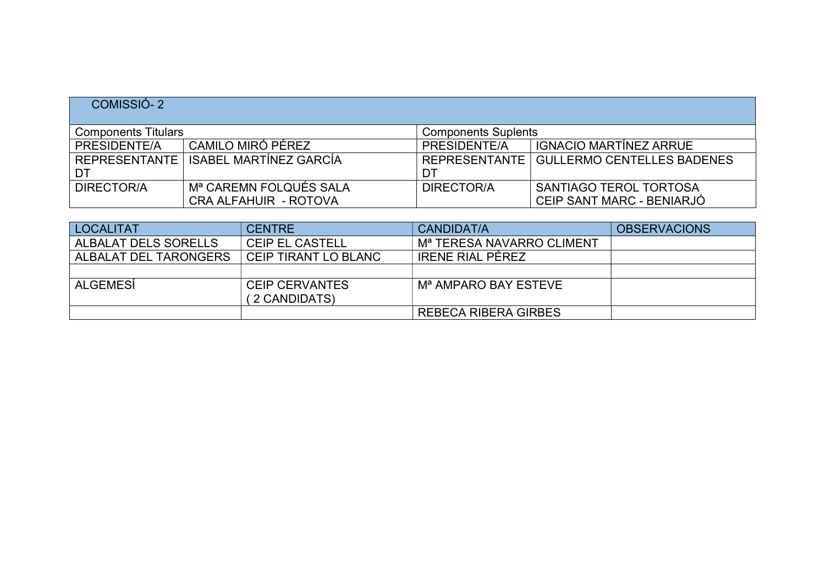## COMISSIÓ- 2

| <b>Components Titulars</b> |                          | <b>Components Suplents</b> |                                            |
|----------------------------|--------------------------|----------------------------|--------------------------------------------|
| PRESIDENTE/A               | CAMILO MIRÓ PÉREZ        | PRESIDENTE/A               | <b>IGNACIO MARTÍNEZ ARRUE</b>              |
| <b>REPRESENTANTE</b>       | ISABEL MARTÍNEZ GARCÍA   |                            | REPRESENTANTE   GULLERMO CENTELLES BADENES |
| DT                         |                          | DT                         |                                            |
| DIRECTOR/A                 | ∣ Mª CAREMN FOLQUÉS SALA | DIRECTOR/A                 | SANTIAGO TEROL TORTOSA                     |
|                            | CRA ALFAHUIR - ROTOVA    |                            | ' CEIP SANT MARC - BENIARJÓ                |

| <b>LOCALITAT</b>      | <b>CENTRE</b>                          | CANDIDAT/A                            | <b>OBSERVACIONS</b> |
|-----------------------|----------------------------------------|---------------------------------------|---------------------|
| ALBALAT DELS SORELLS  | <b>CEIP EL CASTELL</b>                 | M <sup>a</sup> TERESA NAVARRO CLIMENT |                     |
| ALBALAT DEL TARONGERS | CEIP TIRANT LO BLANC                   | <b>IRENE RIAL PÉREZ</b>               |                     |
|                       |                                        |                                       |                     |
| ALGEMESÍ              | <b>CEIP CERVANTES</b><br>(2 CANDIDATS) | M <sup>a</sup> AMPARO BAY ESTEVE      |                     |
|                       |                                        | <b>REBECA RIBERA GIRBES</b>           |                     |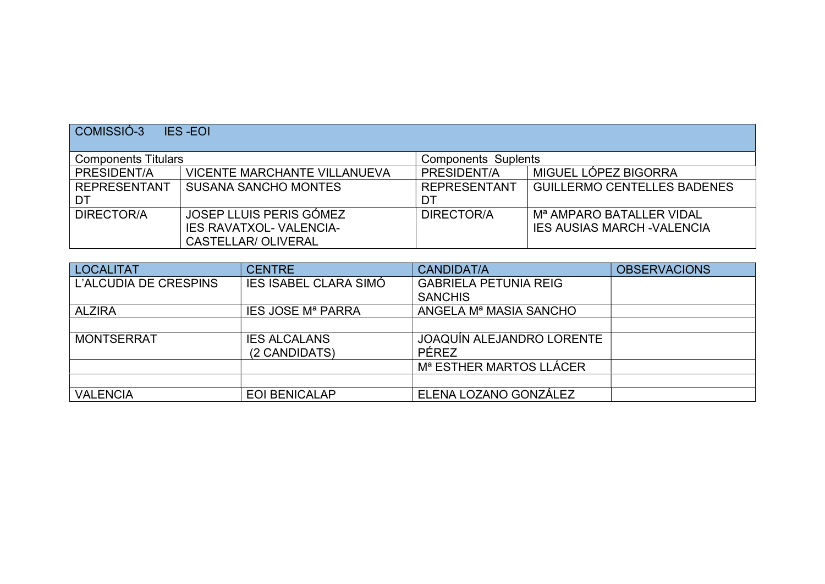| COMISSIÓ-3<br><b>IES-EOI</b> |                                     |                                     |                                      |  |
|------------------------------|-------------------------------------|-------------------------------------|--------------------------------------|--|
| <b>Components Titulars</b>   |                                     | <b>Components Suplents</b>          |                                      |  |
| PRESIDENT/A                  | <b>VICENTE MARCHANTE VILLANUEVA</b> | MIGUEL LÓPEZ BIGORRA<br>PRESIDENT/A |                                      |  |
| <b>REPRESENTANT</b>          | <b>SUSANA SANCHO MONTES</b>         | <b>REPRESENTANT</b>                 | <b>GUILLERMO CENTELLES BADENES</b>   |  |
| DT                           |                                     | DT                                  |                                      |  |
| DIRECTOR/A                   | JOSEP LLUIS PERIS GÓMEZ             | DIRECTOR/A                          | M <sup>a</sup> AMPARO BATALLER VIDAL |  |
|                              | <b>IES RAVATXOL- VALENCIA-</b>      |                                     | <b>IES AUSIAS MARCH - VALENCIA</b>   |  |
|                              | <b>CASTELLAR/ OLIVERAL</b>          |                                     |                                      |  |

| <b>LOCALITAT</b>      | <b>CENTRE</b>                | <b>CANDIDAT/A</b>                  | <b>OBSERVACIONS</b> |
|-----------------------|------------------------------|------------------------------------|---------------------|
| L'ALCUDIA DE CRESPINS | <b>IES ISABEL CLARA SIMÓ</b> | <b>GABRIELA PETUNIA REIG</b>       |                     |
|                       |                              | <b>SANCHIS</b>                     |                     |
| <b>ALZIRA</b>         | <b>IES JOSE Mª PARRA</b>     | ANGELA M <sup>a</sup> MASIA SANCHO |                     |
|                       |                              |                                    |                     |
| <b>MONTSERRAT</b>     | <b>IES ALCALANS</b>          | JOAQUÍN ALEJANDRO LORENTE          |                     |
|                       | (2 CANDIDATS)                | PÉREZ                              |                     |
|                       |                              | Mª ESTHER MARTOS LLÁCER            |                     |
|                       |                              |                                    |                     |
| <b>VALENCIA</b>       | <b>EOI BENICALAP</b>         | ELENA LOZANO GONZÁLEZ              |                     |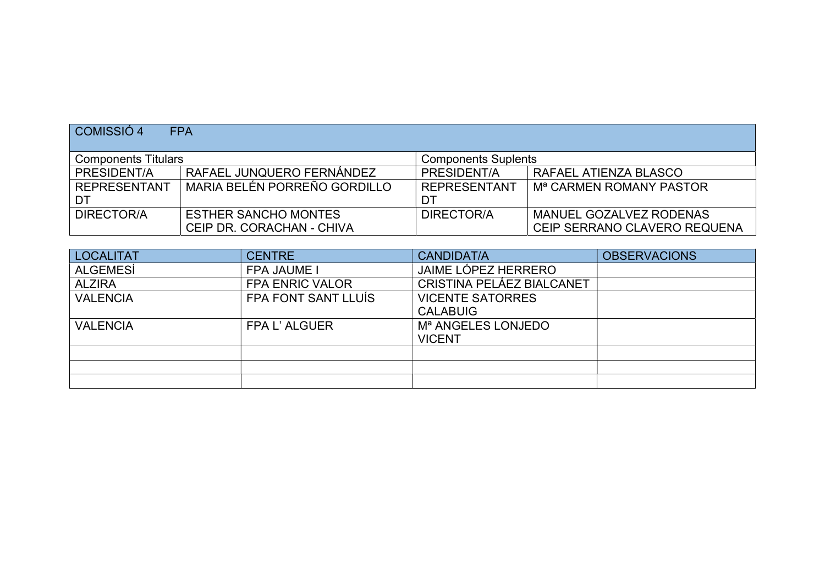| COMISSIÓ 4                 | <b>FPA</b>                   |                            |                                     |
|----------------------------|------------------------------|----------------------------|-------------------------------------|
| <b>Components Titulars</b> |                              | <b>Components Suplents</b> |                                     |
| PRESIDENT/A                | RAFAEL JUNQUERO FERNÁNDEZ    | PRESIDENT/A                | RAFAEL ATIENZA BLASCO               |
| <b>REPRESENTANT</b>        | MARIA BELÉN PORREÑO GORDILLO | <b>REPRESENTANT</b>        | M <sup>a</sup> CARMEN ROMANY PASTOR |
| ⊦ DT                       |                              | DT                         |                                     |
| DIRECTOR/A                 | <b>ESTHER SANCHO MONTES</b>  | DIRECTOR/A                 | MANUEL GOZALVEZ RODENAS             |
|                            | CEIP DR. CORACHAN - CHIVA    |                            | CEIP SERRANO CLAVERO REQUENA        |

| <b>LOCALITAT</b> | <b>CENTRE</b>          | <b>CANDIDAT/A</b>              | <b>OBSERVACIONS</b> |
|------------------|------------------------|--------------------------------|---------------------|
| <b>ALGEMESÍ</b>  | <b>FPA JAUME I</b>     | JAIME LÓPEZ HERRERO            |                     |
| <b>ALZIRA</b>    | <b>FPA ENRIC VALOR</b> | CRISTINA PELÁEZ BIALCANET      |                     |
| <b>VALENCIA</b>  | FPA FONT SANT LLUÍS    | <b>VICENTE SATORRES</b>        |                     |
|                  |                        | <b>CALABUIG</b>                |                     |
| <b>VALENCIA</b>  | FPA L'ALGUER           | M <sup>a</sup> ANGELES LONJEDO |                     |
|                  |                        | <b>VICENT</b>                  |                     |
|                  |                        |                                |                     |
|                  |                        |                                |                     |
|                  |                        |                                |                     |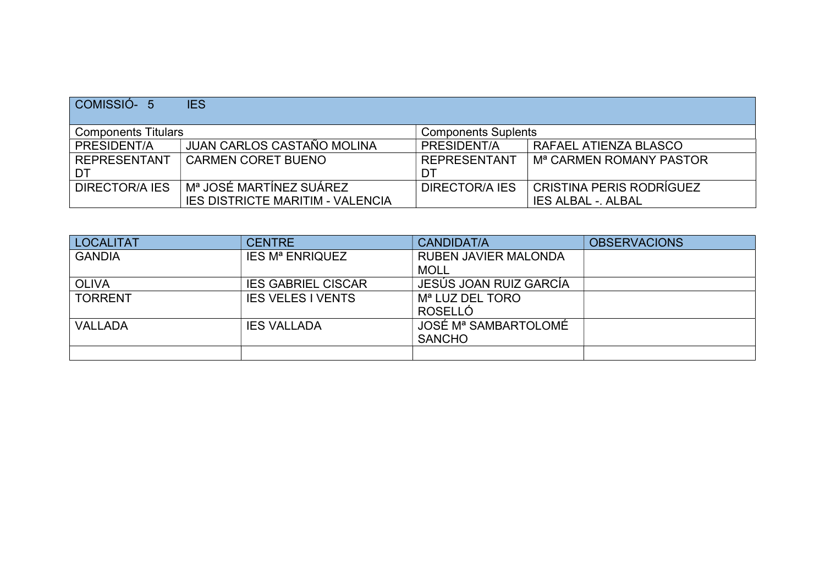| COMISSIÓ-5            | <b>IES</b>                                               |                     |                                     |  |  |
|-----------------------|----------------------------------------------------------|---------------------|-------------------------------------|--|--|
|                       | <b>Components Titulars</b><br><b>Components Suplents</b> |                     |                                     |  |  |
| PRESIDENT/A           | JUAN CARLOS CASTAÑO MOLINA                               | PRESIDENT/A         | RAFAEL ATIENZA BLASCO               |  |  |
| <b>REPRESENTANT</b>   | <b>CARMEN CORET BUENO</b>                                | <b>REPRESENTANT</b> | M <sup>a</sup> CARMEN ROMANY PASTOR |  |  |
| DT                    |                                                          | DT                  |                                     |  |  |
| <b>DIRECTOR/A IES</b> | Mª JOSÉ MARTÍNEZ SUÁREZ                                  | DIRECTOR/A IES      | CRISTINA PERIS RODRÍGUEZ            |  |  |
|                       | <b>IES DISTRICTE MARITIM - VALENCIA</b>                  |                     | <b>IES ALBAL - ALBAL</b>            |  |  |

| <b>LOCALITAT</b> | <b>CENTRE</b>                     | <b>CANDIDAT/A</b>           | <b>OBSERVACIONS</b> |
|------------------|-----------------------------------|-----------------------------|---------------------|
| <b>GANDIA</b>    | <b>IES M<sup>a</sup> ENRIQUEZ</b> | <b>RUBEN JAVIER MALONDA</b> |                     |
|                  |                                   | <b>MOLL</b>                 |                     |
| <b>OLIVA</b>     | <b>IES GABRIEL CISCAR</b>         | JESÚS JOAN RUIZ GARCÍA      |                     |
| <b>TORRENT</b>   | <b>IES VELES I VENTS</b>          | M <sup>a</sup> LUZ DEL TORO |                     |
|                  |                                   | ROSELLÓ                     |                     |
| <b>VALLADA</b>   | <b>IES VALLADA</b>                | JOSÉ Mª SAMBARTOLOMÉ        |                     |
|                  |                                   | <b>SANCHO</b>               |                     |
|                  |                                   |                             |                     |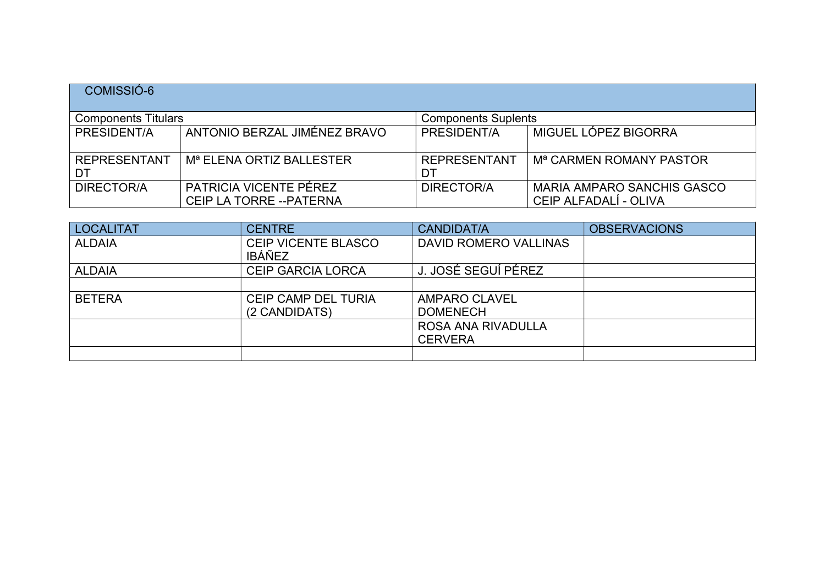| COMISSIÓ-6                 |                                                    |                            |                                                            |
|----------------------------|----------------------------------------------------|----------------------------|------------------------------------------------------------|
| <b>Components Titulars</b> |                                                    | <b>Components Suplents</b> |                                                            |
| PRESIDENT/A                | ANTONIO BERZAL JIMÉNEZ BRAVO                       | PRESIDENT/A                | MIGUEL LÓPEZ BIGORRA                                       |
| <b>REPRESENTANT</b><br>DT  | M <sup>a</sup> ELENA ORTIZ BALLESTER               | <b>REPRESENTANT</b><br>DT  | M <sup>a</sup> CARMEN ROMANY PASTOR                        |
| DIRECTOR/A                 | PATRICIA VICENTE PÉREZ<br>CEIP LA TORRE -- PATERNA | DIRECTOR/A                 | <b>MARIA AMPARO SANCHIS GASCO</b><br>CEIP ALFADALÍ - OLIVA |

| <b>LOCALITAT</b> | <b>CENTRE</b>                               | <b>CANDIDAT/A</b>                       | <b>OBSERVACIONS</b> |
|------------------|---------------------------------------------|-----------------------------------------|---------------------|
| <b>ALDAIA</b>    | <b>CEIP VICENTE BLASCO</b><br><b>IBÁÑEZ</b> | <b>DAVID ROMERO VALLINAS</b>            |                     |
| <b>ALDAIA</b>    | <b>CEIP GARCIA LORCA</b>                    | J. JOSÉ SEGUÍ PÉREZ                     |                     |
|                  |                                             |                                         |                     |
| <b>BETERA</b>    | <b>CEIP CAMP DEL TURIA</b><br>(2 CANDIDATS) | <b>AMPARO CLAVEL</b><br><b>DOMENECH</b> |                     |
|                  |                                             | ROSA ANA RIVADULLA<br><b>CERVERA</b>    |                     |
|                  |                                             |                                         |                     |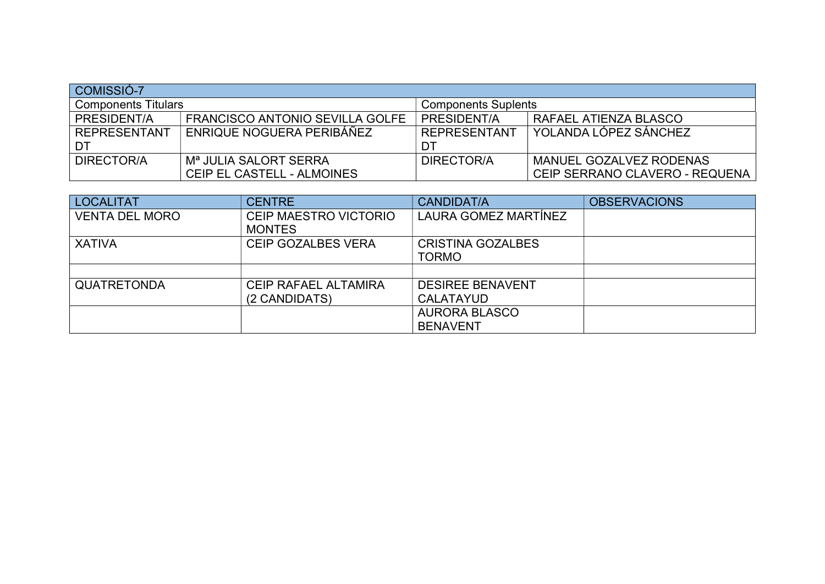| COMISSIÓ-7                 |                                   |                                      |                                |  |
|----------------------------|-----------------------------------|--------------------------------------|--------------------------------|--|
| <b>Components Titulars</b> |                                   | <b>Components Suplents</b>           |                                |  |
| PRESIDENT/A                | FRANCISCO ANTONIO SEVILLA GOLFE   | PRESIDENT/A<br>RAFAEL ATIENZA BLASCO |                                |  |
| REPRESENTANT               | ENRIQUE NOGUERA PERIBÁÑEZ         | <b>REPRESENTANT</b>                  | YOLANDA LÓPEZ SÁNCHEZ          |  |
| ⊤ DT                       |                                   | DT                                   |                                |  |
| DIRECTOR/A                 | M <sup>a</sup> JULIA SALORT SERRA | DIRECTOR/A                           | MANUEL GOZALVEZ RODENAS        |  |
|                            | CEIP EL CASTELL - ALMOINES        |                                      | CEIP SERRANO CLAVERO - REQUENA |  |

| <b>LOCALITAT</b>      | <b>CENTRE</b>               | <b>CANDIDAT/A</b>        | <b>OBSERVACIONS</b> |
|-----------------------|-----------------------------|--------------------------|---------------------|
| <b>VENTA DEL MORO</b> | CEIP MAESTRO VICTORIO       | LAURA GOMEZ MARTÍNEZ     |                     |
|                       | <b>MONTES</b>               |                          |                     |
| <b>XATIVA</b>         | <b>CEIP GOZALBES VERA</b>   | <b>CRISTINA GOZALBES</b> |                     |
|                       |                             | <b>TORMO</b>             |                     |
|                       |                             |                          |                     |
| <b>QUATRETONDA</b>    | <b>CEIP RAFAEL ALTAMIRA</b> | <b>DESIREE BENAVENT</b>  |                     |
|                       | (2 CANDIDATS)               | <b>CALATAYUD</b>         |                     |
|                       |                             | <b>AURORA BLASCO</b>     |                     |
|                       |                             | <b>BENAVENT</b>          |                     |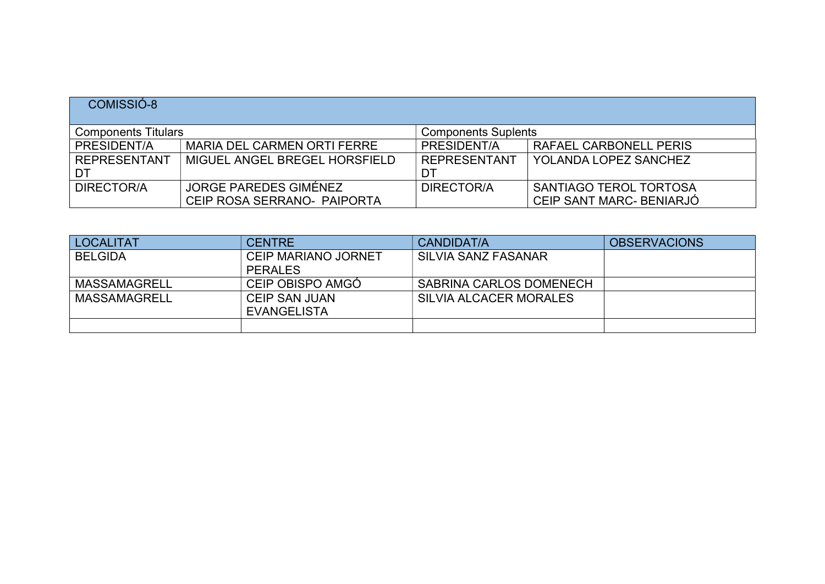| COMISSIO-8          |                                                          |                     |                          |  |  |
|---------------------|----------------------------------------------------------|---------------------|--------------------------|--|--|
|                     | <b>Components Titulars</b><br><b>Components Suplents</b> |                     |                          |  |  |
| PRESIDENT/A         | MARIA DEL CARMEN ORTI FERRE                              | PRESIDENT/A         | RAFAEL CARBONELL PERIS   |  |  |
| <b>REPRESENTANT</b> | MIGUEL ANGEL BREGEL HORSFIELD                            | <b>REPRESENTANT</b> | YOLANDA LOPEZ SANCHEZ    |  |  |
| DT                  |                                                          |                     |                          |  |  |
| DIRECTOR/A          | JORGE PAREDES GIMÉNEZ                                    | DIRECTOR/A          | SANTIAGO TEROL TORTOSA   |  |  |
|                     | CEIP ROSA SERRANO- PAIPORTA                              |                     | CEIP SANT MARC- BENIARJÓ |  |  |

| <b>LOCALITAT</b> | <b>CENTRE</b>              | CANDIDAT/A              | <b>OBSERVACIONS</b> |
|------------------|----------------------------|-------------------------|---------------------|
| <b>BELGIDA</b>   | <b>CEIP MARIANO JORNET</b> | SILVIA SANZ FASANAR     |                     |
|                  | <b>PERALES</b>             |                         |                     |
| MASSAMAGRELL     | CEIP OBISPO AMGÓ           | SABRINA CARLOS DOMENECH |                     |
| MASSAMAGRELL     | <b>CEIP SAN JUAN</b>       | SILVIA ALCACER MORALES  |                     |
|                  | EVANGELISTA                |                         |                     |
|                  |                            |                         |                     |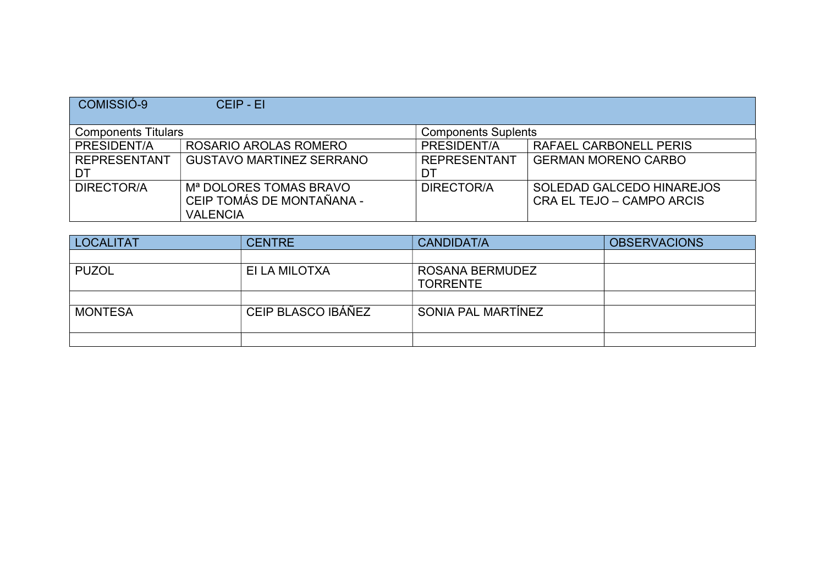| COMISSIÓ-9                 | CEIP - EI                          |                            |                            |
|----------------------------|------------------------------------|----------------------------|----------------------------|
| <b>Components Titulars</b> |                                    | <b>Components Suplents</b> |                            |
| PRESIDENT/A                | ROSARIO AROLAS ROMERO              | PRESIDENT/A                | RAFAEL CARBONELL PERIS     |
| <b>REPRESENTANT</b>        | <b>GUSTAVO MARTINEZ SERRANO</b>    | <b>REPRESENTANT</b>        | <b>GERMAN MORENO CARBO</b> |
| DT                         |                                    | DT                         |                            |
| <b>DIRECTOR/A</b>          | M <sup>a</sup> DOLORES TOMAS BRAVO | DIRECTOR/A                 | SOLEDAD GALCEDO HINAREJOS  |
|                            | CEIP TOMÁS DE MONTAÑANA -          |                            | CRA EL TEJO – CAMPO ARCIS  |
|                            | <b>VALENCIA</b>                    |                            |                            |

| <b>LOCALITAT</b> | <b>CENTRE</b>      | <b>CANDIDAT/A</b>                  | <b>OBSERVACIONS</b> |
|------------------|--------------------|------------------------------------|---------------------|
|                  |                    |                                    |                     |
| <b>PUZOL</b>     | EI LA MILOTXA      | ROSANA BERMUDEZ<br><b>TORRENTE</b> |                     |
|                  |                    |                                    |                     |
| <b>MONTESA</b>   | CEIP BLASCO IBÁÑEZ | SONIA PAL MARTÍNEZ                 |                     |
|                  |                    |                                    |                     |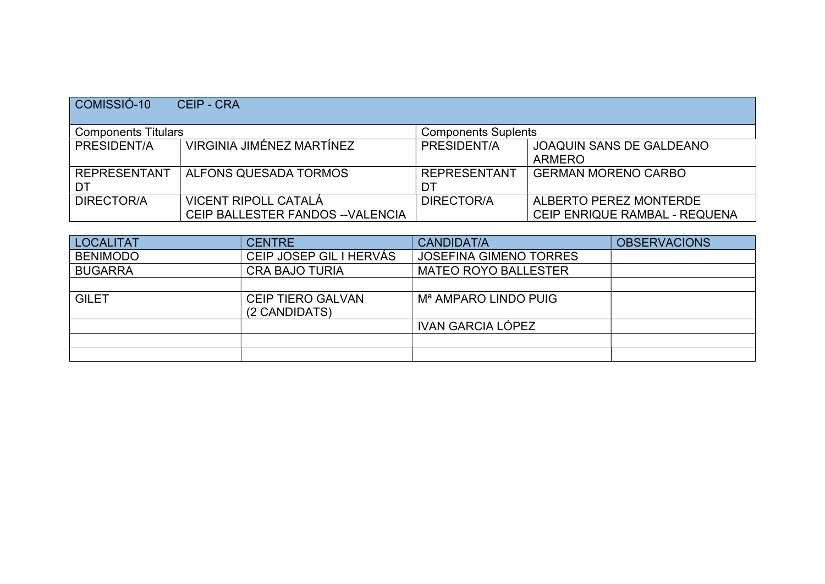| COMISSIÓ-10                | <b>CEIP - CRA</b>                                         |                            |                                                         |
|----------------------------|-----------------------------------------------------------|----------------------------|---------------------------------------------------------|
| <b>Components Titulars</b> |                                                           | <b>Components Suplents</b> |                                                         |
| PRESIDENT/A                | VIRGINIA JIMÉNEZ MARTÍNEZ                                 | PRESIDENT/A                | <b>JOAQUIN SANS DE GALDEANO</b><br><b>ARMERO</b>        |
| <b>REPRESENTANT</b><br>DT  | ALFONS QUESADA TORMOS                                     | <b>REPRESENTANT</b><br>DT  | <b>GERMAN MORENO CARBO</b>                              |
| DIRECTOR/A                 | VICENT RIPOLL CATALÁ<br>CEIP BALLESTER FANDOS -- VALENCIA | DIRECTOR/A                 | ALBERTO PEREZ MONTERDE<br>CEIP ENRIQUE RAMBAL - REQUENA |

| LOCALITAT       | <b>CENTRE</b>                             | CANDIDAT/A                       | <b>OBSERVACIONS</b> |
|-----------------|-------------------------------------------|----------------------------------|---------------------|
| <b>BENIMODO</b> | CEIP JOSEP GIL I HERVÁS                   | <b>JOSEFINA GIMENO TORRES</b>    |                     |
| <b>BUGARRA</b>  | <b>CRA BAJO TURIA</b>                     | <b>MATEO ROYO BALLESTER</b>      |                     |
|                 |                                           |                                  |                     |
| <b>GILET</b>    | <b>CEIP TIERO GALVAN</b><br>(2 CANDIDATS) | M <sup>a</sup> AMPARO LINDO PUIG |                     |
|                 |                                           | <b>IVAN GARCIA LÓPEZ</b>         |                     |
|                 |                                           |                                  |                     |
|                 |                                           |                                  |                     |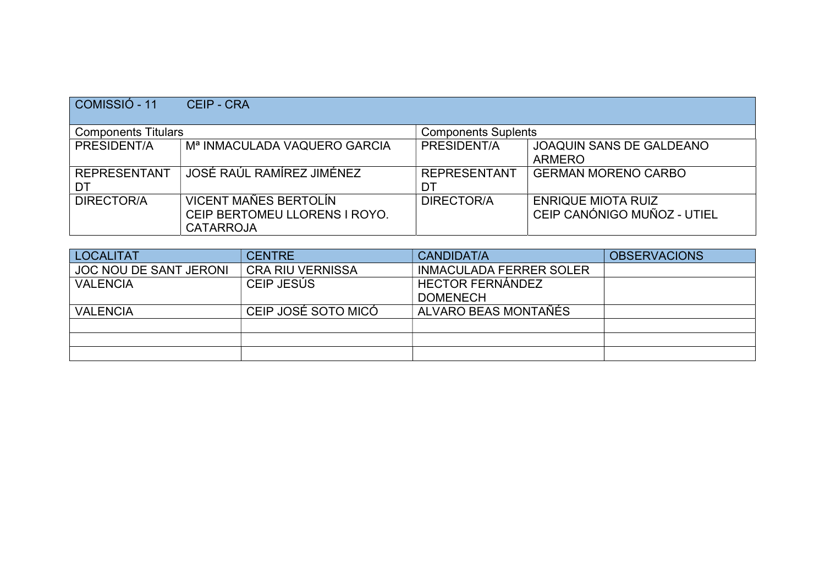| COMISSIÓ - 11              | <b>CEIP - CRA</b>                                                                 |                            |                                                          |
|----------------------------|-----------------------------------------------------------------------------------|----------------------------|----------------------------------------------------------|
| <b>Components Titulars</b> |                                                                                   | <b>Components Suplents</b> |                                                          |
| PRESIDENT/A                | M <sup>a</sup> INMACULADA VAQUERO GARCIA                                          | PRESIDENT/A                | <b>JOAQUIN SANS DE GALDEANO</b><br><b>ARMERO</b>         |
| <b>REPRESENTANT</b><br>DT  | JOSÉ RAÚL RAMÍREZ JIMÉNEZ                                                         | <b>REPRESENTANT</b><br>DT  | <b>GERMAN MORENO CARBO</b>                               |
| DIRECTOR/A                 | <b>VICENT MAÑES BERTOLÍN</b><br>CEIP BERTOMEU LLORENS I ROYO.<br><b>CATARROJA</b> | DIRECTOR/A                 | <b>ENRIQUE MIOTA RUIZ</b><br>CEIP CANÓNIGO MUÑOZ - UTIEL |

| <b>LOCALITAT</b>              | <b>CENTRE</b>           | CANDIDAT/A                     | <b>OBSERVACIONS</b> |
|-------------------------------|-------------------------|--------------------------------|---------------------|
| <b>JOC NOU DE SANT JERONI</b> | <b>CRA RIU VERNISSA</b> | <b>INMACULADA FERRER SOLER</b> |                     |
| <b>VALENCIA</b>               | CEIP JESÚS              | <b>HECTOR FERNÁNDEZ</b>        |                     |
|                               |                         | <b>DOMENECH</b>                |                     |
| <b>VALENCIA</b>               | CEIP JOSÉ SOTO MICÓ     | ALVARO BEAS MONTAÑES           |                     |
|                               |                         |                                |                     |
|                               |                         |                                |                     |
|                               |                         |                                |                     |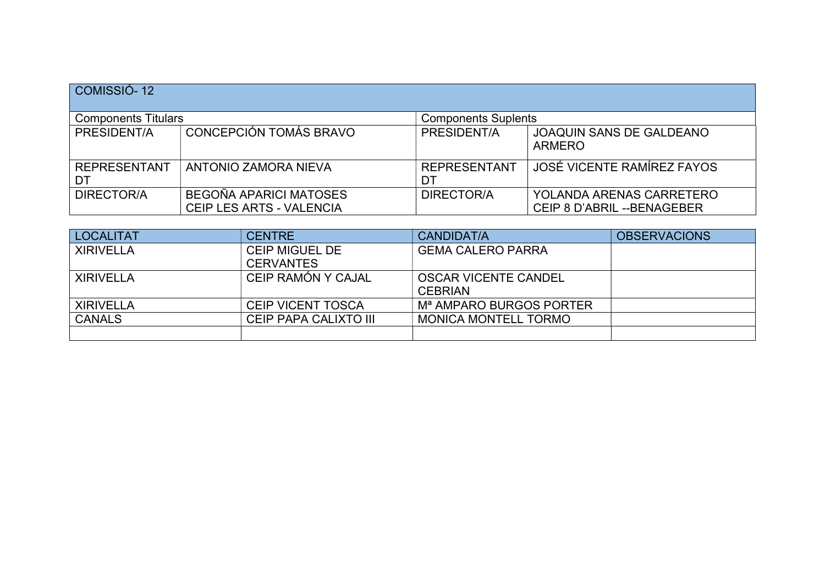| COMISSIÓ-12                |                                                           |                            |                                                         |  |
|----------------------------|-----------------------------------------------------------|----------------------------|---------------------------------------------------------|--|
| <b>Components Titulars</b> |                                                           | <b>Components Suplents</b> |                                                         |  |
| PRESIDENT/A                | CONCEPCIÓN TOMÁS BRAVO                                    | PRESIDENT/A                | <b>JOAQUIN SANS DE GALDEANO</b><br><b>ARMERO</b>        |  |
| <b>REPRESENTANT</b><br>DT  | ANTONIO ZAMORA NIEVA                                      | <b>REPRESENTANT</b><br>DT  | JOSÉ VICENTE RAMÍREZ FAYOS                              |  |
| <b>DIRECTOR/A</b>          | BEGOÑA APARICI MATOSES<br><b>CEIP LES ARTS - VALENCIA</b> | DIRECTOR/A                 | YOLANDA ARENAS CARRETERO<br>CEIP 8 D'ABRIL -- BENAGEBER |  |

| <b>LOCALITAT</b> | <b>CENTRE</b>            | CANDIDAT/A                          | <b>OBSERVACIONS</b> |
|------------------|--------------------------|-------------------------------------|---------------------|
| <b>XIRIVELLA</b> | <b>CEIP MIGUEL DE</b>    | <b>GEMA CALERO PARRA</b>            |                     |
|                  | <b>CERVANTES</b>         |                                     |                     |
| <b>XIRIVELLA</b> | CEIP RAMÓN Y CAJAL       | <b>OSCAR VICENTE CANDEL</b>         |                     |
|                  |                          | <b>CEBRIAN</b>                      |                     |
| <b>XIRIVELLA</b> | <b>CEIP VICENT TOSCA</b> | M <sup>a</sup> AMPARO BURGOS PORTER |                     |
| <b>CANALS</b>    | CEIP PAPA CALIXTO III    | <b>MONICA MONTELL TORMO</b>         |                     |
|                  |                          |                                     |                     |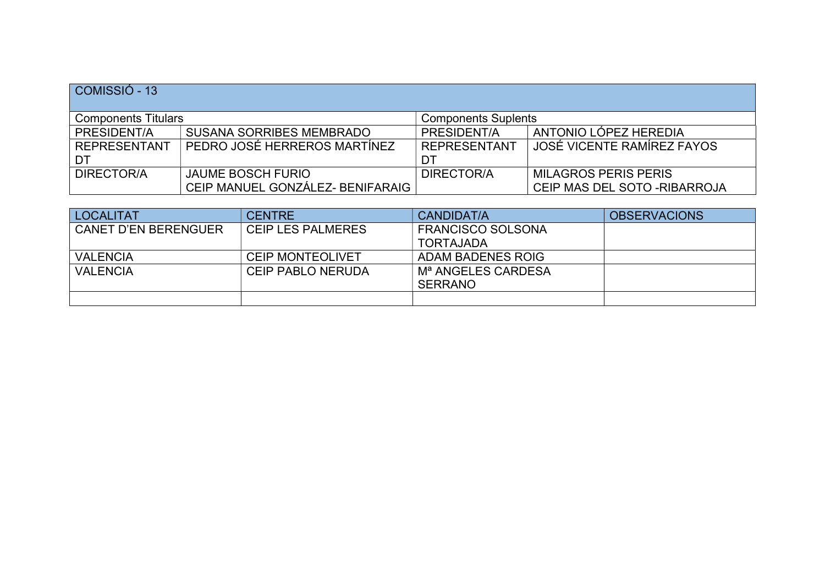| COMISSIÓ - 13       |                                                          |                     |                               |  |  |
|---------------------|----------------------------------------------------------|---------------------|-------------------------------|--|--|
|                     | <b>Components Titulars</b><br><b>Components Suplents</b> |                     |                               |  |  |
| PRESIDENT/A         | <b>SUSANA SORRIBES MEMBRADO</b>                          | PRESIDENT/A         | ANTONIO LÓPEZ HEREDIA         |  |  |
| <b>REPRESENTANT</b> | PEDRO JOSÉ HERREROS MARTÍNEZ                             | <b>REPRESENTANT</b> | JOSÉ VICENTE RAMÍREZ FAYOS    |  |  |
| DT                  |                                                          | DT                  |                               |  |  |
| DIRECTOR/A          | <b>JAUME BOSCH FURIO</b>                                 | DIRECTOR/A          | <b>MILAGROS PERIS PERIS</b>   |  |  |
|                     | CEIP MANUEL GONZÁLEZ- BENIFARAIG                         |                     | CEIP MAS DEL SOTO - RIBARROJA |  |  |

| <b>LOCALITAT</b>            | <b>CENTRE</b>            | CANDIDAT/A                     | <b>OBSERVACIONS</b> |
|-----------------------------|--------------------------|--------------------------------|---------------------|
| <b>CANET D'EN BERENGUER</b> | <b>CEIP LES PALMERES</b> | <b>FRANCISCO SOLSONA</b>       |                     |
|                             |                          | <b>TORTAJADA</b>               |                     |
| <b>VALENCIA</b>             | <b>CEIP MONTEOLIVET</b>  | ADAM BADENES ROIG              |                     |
| <b>VALENCIA</b>             | <b>CEIP PABLO NERUDA</b> | M <sup>a</sup> ANGELES CARDESA |                     |
|                             |                          | <b>SERRANO</b>                 |                     |
|                             |                          |                                |                     |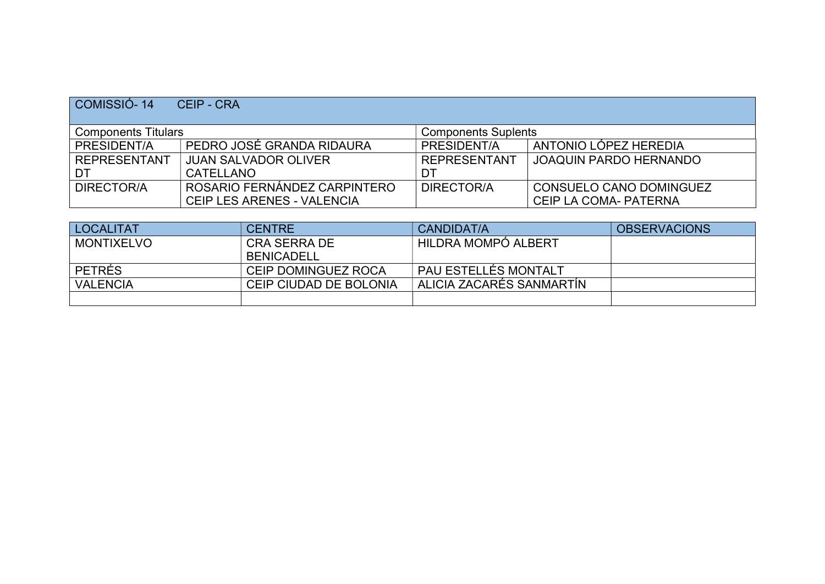| COMISSIO-14                                              | CEIP - CRA                        |                     |                                |  |
|----------------------------------------------------------|-----------------------------------|---------------------|--------------------------------|--|
| <b>Components Titulars</b><br><b>Components Suplents</b> |                                   |                     |                                |  |
| PRESIDENT/A                                              | PEDRO JOSÉ GRANDA RIDAURA         | PRESIDENT/A         | ANTONIO LÓPEZ HEREDIA          |  |
| <b>REPRESENTANT</b>                                      | <b>JUAN SALVADOR OLIVER</b>       | <b>REPRESENTANT</b> | <b>JOAQUIN PARDO HERNANDO</b>  |  |
| DT                                                       | CATELLANO                         | DT                  |                                |  |
| DIRECTOR/A                                               | ROSARIO FERNÁNDEZ CARPINTERO      | DIRECTOR/A          | <b>CONSUELO CANO DOMINGUEZ</b> |  |
|                                                          | <b>CEIP LES ARENES - VALENCIA</b> |                     | CEIP LA COMA- PATERNA          |  |

| <b>LOCALITAT</b> | <b>CENTRE</b>          | CANDIDAT/A               | <b>OBSERVACIONS</b> |
|------------------|------------------------|--------------------------|---------------------|
| MONTIXELVO       | <b>CRA SERRA DE</b>    | HILDRA MOMPÓ ALBERT      |                     |
|                  | <b>BENICADELL</b>      |                          |                     |
| <b>PETRÉS</b>    | CEIP DOMINGUEZ ROCA    | . PAU ESTELLÉS MONTALT   |                     |
| <b>VALENCIA</b>  | CEIP CIUDAD DE BOLONIA | ALICIA ZACARÉS SANMARTÍN |                     |
|                  |                        |                          |                     |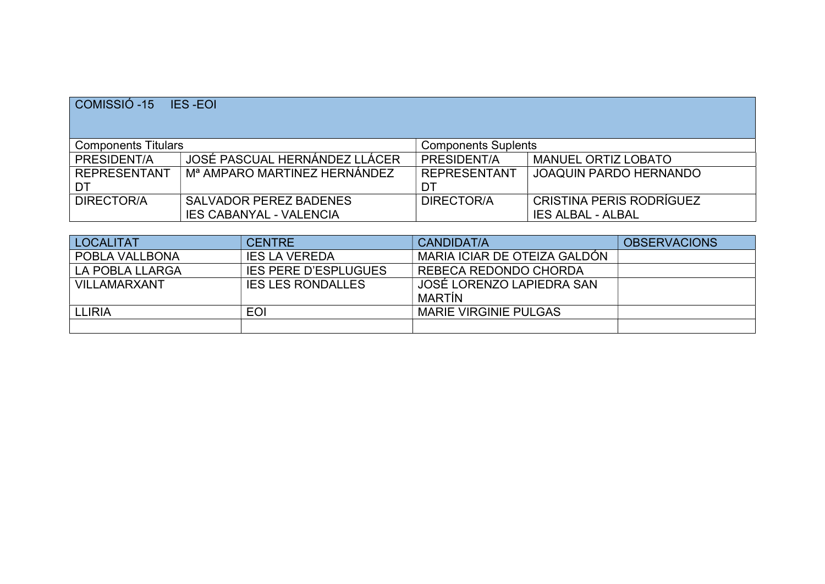| COMISSIÓ-15                | <b>IES-EOI</b>                                                  |                            |                                                             |
|----------------------------|-----------------------------------------------------------------|----------------------------|-------------------------------------------------------------|
| <b>Components Titulars</b> |                                                                 | <b>Components Suplents</b> |                                                             |
| PRESIDENT/A                | JOSÉ PASCUAL HERNÁNDEZ LLÁCER                                   | PRESIDENT/A                | <b>MANUEL ORTIZ LOBATO</b>                                  |
| <b>REPRESENTANT</b><br>DT  | M <sup>a</sup> AMPARO MARTINEZ HERNÁNDEZ                        | <b>REPRESENTANT</b><br>DT  | <b>JOAQUIN PARDO HERNANDO</b>                               |
| DIRECTOR/A                 | <b>SALVADOR PEREZ BADENES</b><br><b>IES CABANYAL - VALENCIA</b> | DIRECTOR/A                 | <b>CRISTINA PERIS RODRÍGUEZ</b><br><b>IES ALBAL - ALBAL</b> |

| <b>LOCALITAT</b> | <b>CENTRE</b>               | CANDIDAT/A                   | <b>OBSERVACIONS</b> |
|------------------|-----------------------------|------------------------------|---------------------|
| POBLA VALLBONA   | <b>IES LA VEREDA</b>        | MARIA ICIAR DE OTEIZA GALDÓN |                     |
| LA POBLA LLARGA  | <b>IES PERE D'ESPLUGUES</b> | REBECA REDONDO CHORDA        |                     |
| VILLAMARXANT     | <b>IES LES RONDALLES</b>    | JOSÉ LORENZO LAPIEDRA SAN    |                     |
|                  |                             | <b>MARTIN</b>                |                     |
| <b>LLIRIA</b>    | EOI                         | <b>MARIE VIRGINIE PULGAS</b> |                     |
|                  |                             |                              |                     |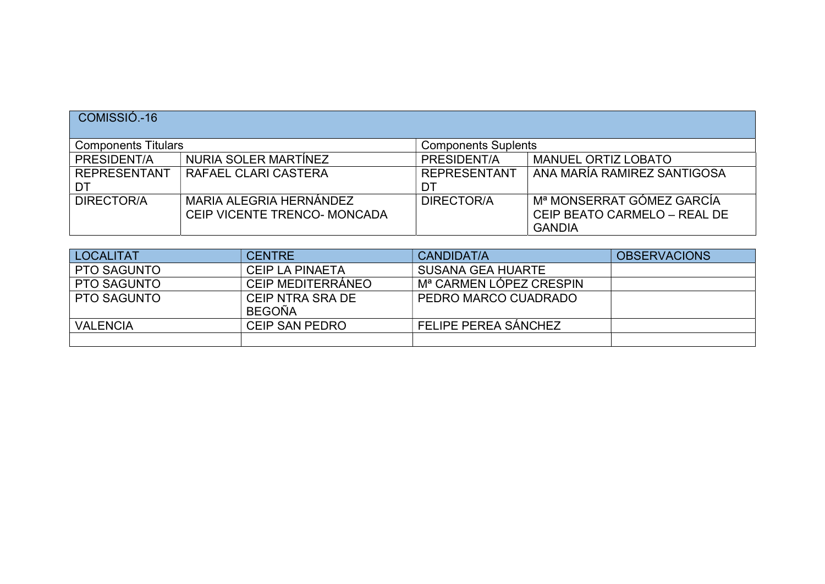## COMISSIÓ.-16

| <b>Components Titulars</b> |                              | <b>Components Suplents</b> |                              |
|----------------------------|------------------------------|----------------------------|------------------------------|
| PRESIDENT/A                | NURIA SOLER MARTÍNEZ         | PRESIDENT/A                | <b>MANUEL ORTIZ LOBATO</b>   |
| <b>REPRESENTANT</b>        | RAFAEL CLARI CASTERA         | <b>REPRESENTANT</b>        | ANA MARÍA RAMIREZ SANTIGOSA  |
| DT                         |                              | DT                         |                              |
| DIRECTOR/A                 | MARIA ALEGRIA HERNÁNDEZ      | DIRECTOR/A                 | ! Mª MONSERRAT GÓMEZ GARCÍA  |
|                            | CEIP VICENTE TRENCO- MONCADA |                            | CEIP BEATO CARMELO - REAL DE |
|                            |                              |                            | <b>GANDIA</b>                |

| <b>LOCALITAT</b>   | <b>CENTRE</b>          | CANDIDAT/A                          | <b>OBSERVACIONS</b> |
|--------------------|------------------------|-------------------------------------|---------------------|
| <b>PTO SAGUNTO</b> | <b>CEIP LA PINAETA</b> | <b>SUSANA GEA HUARTE</b>            |                     |
| <b>PTO SAGUNTO</b> | CEIP MEDITERRÁNEO      | M <sup>a</sup> CARMEN LÓPEZ CRESPIN |                     |
| <b>PTO SAGUNTO</b> | CEIP NTRA SRA DE       | PEDRO MARCO CUADRADO                |                     |
|                    | BEGOÑA                 |                                     |                     |
| <b>VALENCIA</b>    | <b>CEIP SAN PEDRO</b>  | FELIPE PEREA SÁNCHEZ                |                     |
|                    |                        |                                     |                     |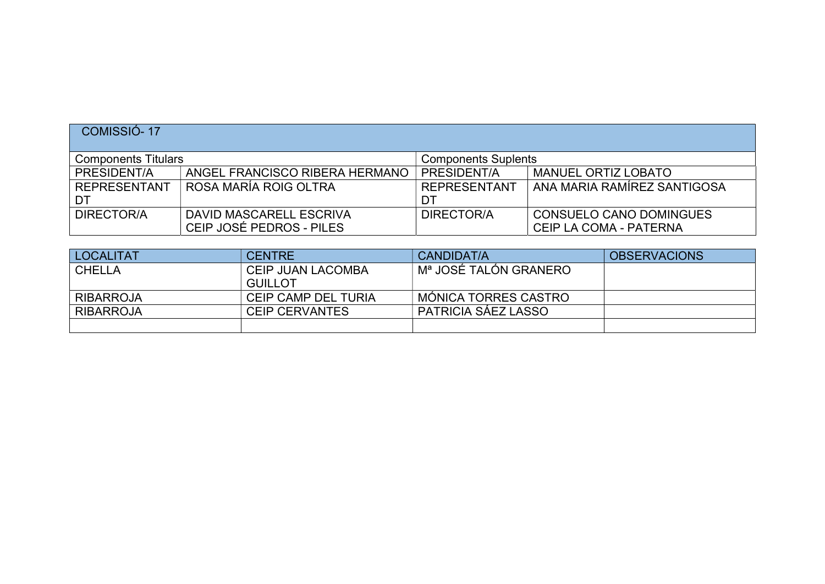| COMISSIÓ-17         |                                                          |                     |                             |  |  |
|---------------------|----------------------------------------------------------|---------------------|-----------------------------|--|--|
|                     | <b>Components Titulars</b><br><b>Components Suplents</b> |                     |                             |  |  |
| PRESIDENT/A         | ANGEL FRANCISCO RIBERA HERMANO                           | PRESIDENT/A         | <b>MANUEL ORTIZ LOBATO</b>  |  |  |
| <b>REPRESENTANT</b> | ROSA MARÍA ROIG OLTRA                                    | <b>REPRESENTANT</b> | ANA MARIA RAMÍREZ SANTIGOSA |  |  |
| DT                  |                                                          | DT                  |                             |  |  |
| DIRECTOR/A          | DAVID MASCARELL ESCRIVA                                  | DIRECTOR/A          | CONSUELO CANO DOMINGUES     |  |  |
|                     | CEIP JOSÉ PEDROS - PILES                                 |                     | CEIP LA COMA - PATERNA      |  |  |

| <b>LOCALITAT</b> | <b>CENTRE</b>            | CANDIDAT/A             | <b>OBSERVACIONS</b> |
|------------------|--------------------------|------------------------|---------------------|
| <b>CHELLA</b>    | <b>CEIP JUAN LACOMBA</b> | ⊢Mª JOSÉ TALÓN GRANERO |                     |
|                  | <b>GUILLOT</b>           |                        |                     |
| <b>RIBARROJA</b> | CEIP CAMP DEL TURIA      | MÓNICA TORRES CASTRO   |                     |
| <b>RIBARROJA</b> | <b>CEIP CERVANTES</b>    | PATRICIA SÁEZ LASSO    |                     |
|                  |                          |                        |                     |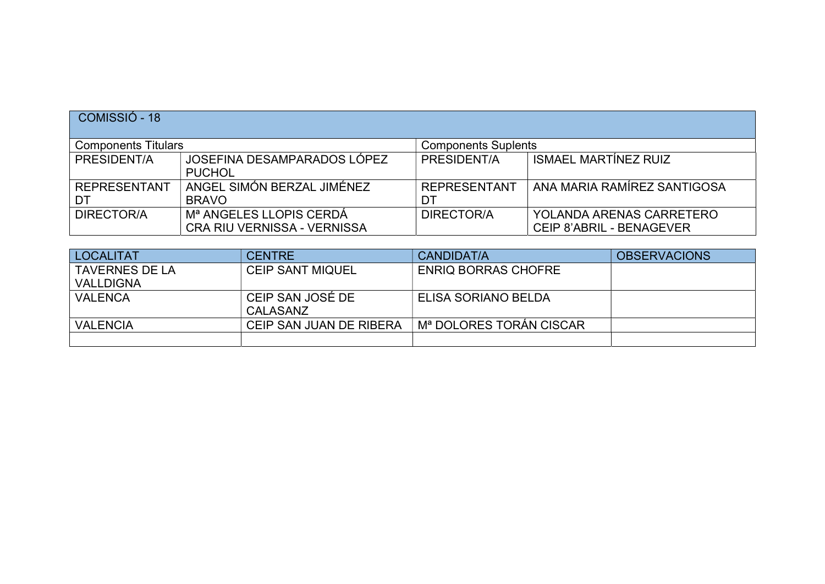| COMISSIÓ - 18              |                                                                    |                            |                                                             |
|----------------------------|--------------------------------------------------------------------|----------------------------|-------------------------------------------------------------|
| <b>Components Titulars</b> |                                                                    | <b>Components Suplents</b> |                                                             |
| PRESIDENT/A                | JOSEFINA DESAMPARADOS LÓPEZ<br><b>PUCHOL</b>                       | PRESIDENT/A                | <b>ISMAEL MARTÍNEZ RUIZ</b>                                 |
| <b>REPRESENTANT</b><br>DT  | ANGEL SIMÓN BERZAL JIMÉNEZ<br><b>BRAVO</b>                         | <b>REPRESENTANT</b><br>DT  | ANA MARIA RAMÍREZ SANTIGOSA                                 |
| DIRECTOR/A                 | M <sup>a</sup> ANGELES LLOPIS CERDÁ<br>CRA RIU VERNISSA - VERNISSA | DIRECTOR/A                 | YOLANDA ARENAS CARRETERO<br><b>CEIP 8'ABRIL - BENAGEVER</b> |

| <b>LOCALITAT</b>      | <b>CENTRE</b>           | CANDIDAT/A                 | <b>OBSERVACIONS</b> |
|-----------------------|-------------------------|----------------------------|---------------------|
| <b>TAVERNES DE LA</b> | <b>CEIP SANT MIQUEL</b> | <b>ENRIQ BORRAS CHOFRE</b> |                     |
| <b>VALLDIGNA</b>      |                         |                            |                     |
| <b>VALENCA</b>        | CEIP SAN JOSÉ DE        | ELISA SORIANO BELDA        |                     |
|                       | <b>CALASANZ</b>         |                            |                     |
| <b>VALENCIA</b>       | CEIP SAN JUAN DE RIBERA | Mª DOLORES TORÁN CISCAR    |                     |
|                       |                         |                            |                     |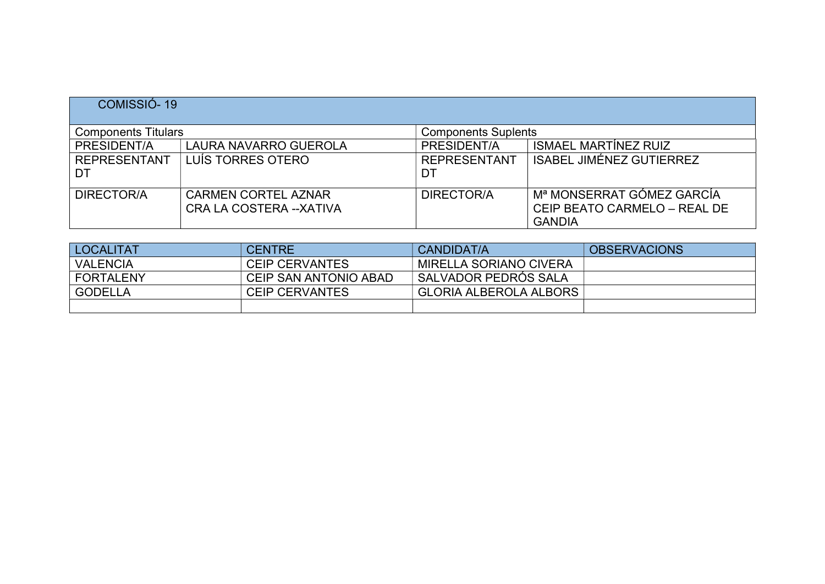| COMISSIÓ-19                |                                                        |                            |                                                                            |
|----------------------------|--------------------------------------------------------|----------------------------|----------------------------------------------------------------------------|
| <b>Components Titulars</b> |                                                        | <b>Components Suplents</b> |                                                                            |
| PRESIDENT/A                | LAURA NAVARRO GUEROLA                                  | PRESIDENT/A                | <b>ISMAEL MARTÍNEZ RUIZ</b>                                                |
| <b>REPRESENTANT</b><br>DT  | LUÍS TORRES OTERO                                      | <b>REPRESENTANT</b><br>DT  | <b>ISABEL JIMÉNEZ GUTIERREZ</b>                                            |
| <b>DIRECTOR/A</b>          | <b>CARMEN CORTEL AZNAR</b><br>CRA LA COSTERA -- XATIVA | DIRECTOR/A                 | Mª MONSERRAT GÓMEZ GARCÍA<br>CEIP BEATO CARMELO - REAL DE<br><b>GANDIA</b> |

| <b>LOCALITAT</b> | <b>CENTRE</b>         | <b>CANDIDAT/A</b>             | <b>OBSERVACIONS</b> |
|------------------|-----------------------|-------------------------------|---------------------|
| <b>VALENCIA</b>  | <b>CEIP CERVANTES</b> | MIRELLA SORIANO CIVERA        |                     |
| <b>FORTALENY</b> | CEIP SAN ANTONIO ABAD | SALVADOR PEDRÓS SALA          |                     |
| <b>GODELLA</b>   | CEIP CERVANTES        | <b>GLORIA ALBEROLA ALBORS</b> |                     |
|                  |                       |                               |                     |